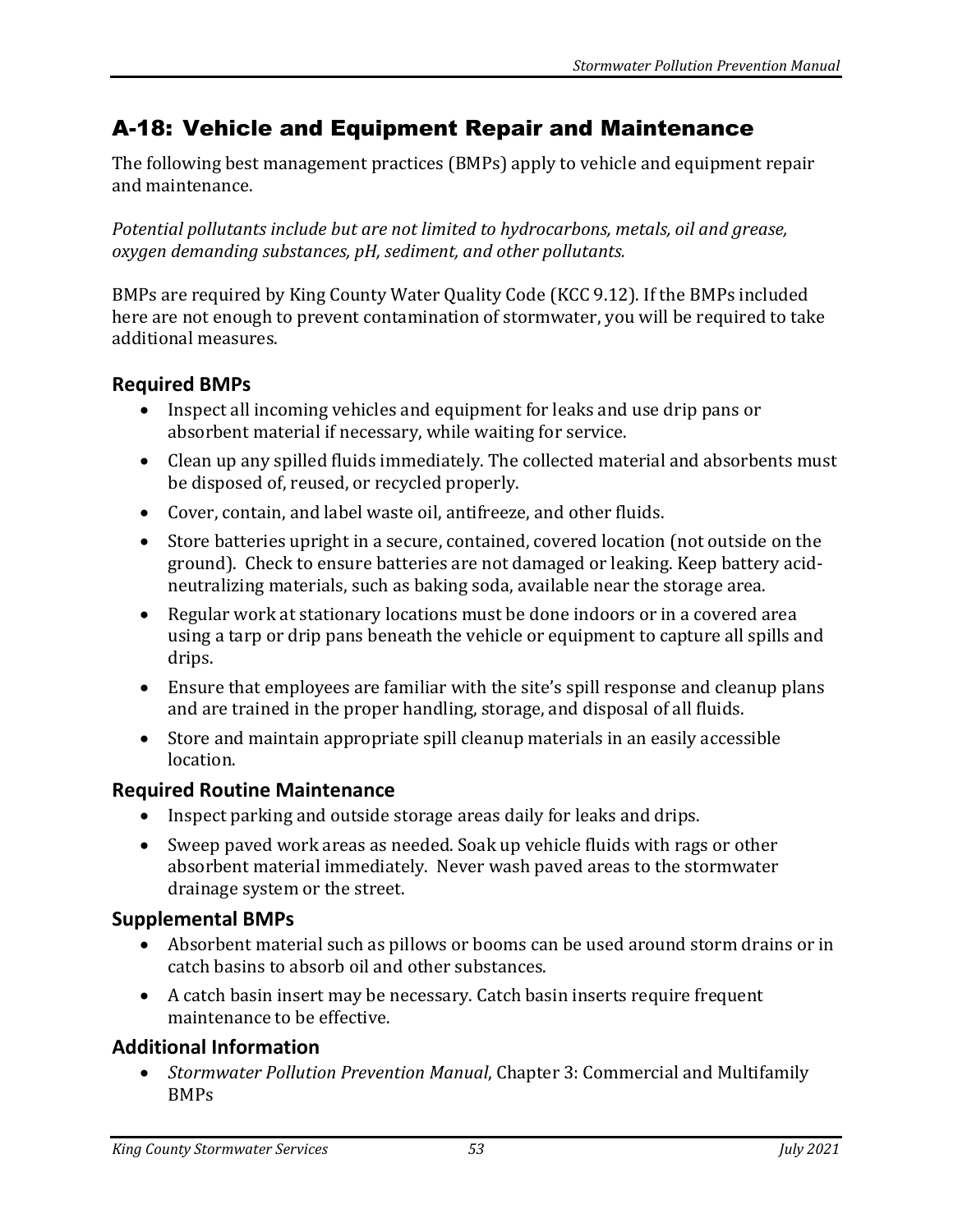# A-18: Vehicle and Equipment Repair and Maintenance

The following best management practices (BMPs) apply to vehicle and equipment repair and maintenance.

*Potential pollutants include but are not limited to hydrocarbons, metals, oil and grease, oxygen demanding substances, pH, sediment, and other pollutants.*

BMPs are required by King County Water Quality Code (KCC 9.12). If the BMPs included here are not enough to prevent contamination of stormwater, you will be required to take additional measures.

#### **Required BMPs**

- Inspect all incoming vehicles and equipment for leaks and use drip pans or absorbent material if necessary, while waiting for service.
- Clean up any spilled fluids immediately. The collected material and absorbents must be disposed of, reused, or recycled properly.
- Cover, contain, and label waste oil, antifreeze, and other fluids.
- Store batteries upright in a secure, contained, covered location (not outside on the ground). Check to ensure batteries are not damaged or leaking. Keep battery acidneutralizing materials, such as baking soda, available near the storage area.
- Regular work at stationary locations must be done indoors or in a covered area using a tarp or drip pans beneath the vehicle or equipment to capture all spills and drips.
- Ensure that employees are familiar with the site's spill response and cleanup plans and are trained in the proper handling, storage, and disposal of all fluids.
- Store and maintain appropriate spill cleanup materials in an easily accessible location.

### **Required Routine Maintenance**

- Inspect parking and outside storage areas daily for leaks and drips.
- Sweep paved work areas as needed. Soak up vehicle fluids with rags or other absorbent material immediately. Never wash paved areas to the stormwater drainage system or the street.

### **Supplemental BMPs**

- Absorbent material such as pillows or booms can be used around storm drains or in catch basins to absorb oil and other substances.
- A catch basin insert may be necessary. Catch basin inserts require frequent maintenance to be effective.

## **Additional Information**

• *Stormwater Pollution Prevention Manual*, Chapter 3: Commercial and Multifamily BMPs